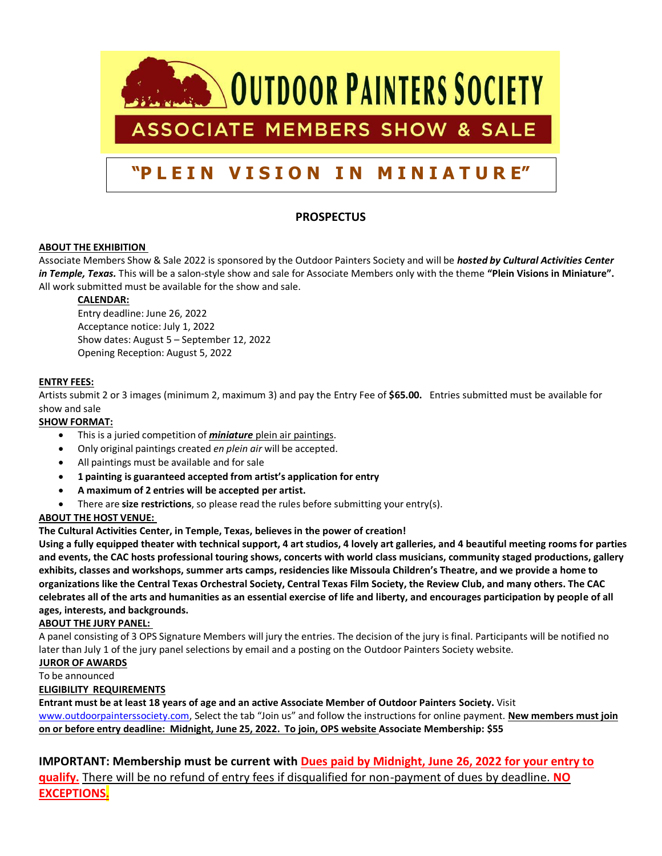

# **PROSPECTUS**

## **ABOUT THE EXHIBITION**

Associate Members Show & Sale 2022 is sponsored by the Outdoor Painters Society and will be *hosted by Cultural Activities Center in Temple, Texas.* This will be a salon-style show and sale for Associate Members only with the theme **"Plein Visions in Miniature".** All work submitted must be available for the show and sale.

## **CALENDAR:**

Entry deadline: June 26, 2022 Acceptance notice: July 1, 2022 Show dates: August 5 – September 12, 2022 Opening Reception: August 5, 2022

#### **ENTRY FEES:**

Artists submit 2 or 3 images (minimum 2, maximum 3) and pay the Entry Fee of **\$65.00.** Entries submitted must be available for show and sale

### **SHOW FORMAT:**

- This is a juried competition of *miniature* plein air paintings.
- Only original paintings created *en plein air* will be accepted.
- All paintings must be available and for sale
- **1 painting is guaranteed accepted from artist's application for entry**
- **A maximum of 2 entries will be accepted per artist.**
- There are **size restrictions**, so please read the rules before submitting your entry(s).

## **ABOUT THE HOST VENUE:**

**The Cultural Activities Center, in Temple, Texas, believes in the power of creation!** 

**Using a fully equipped theater with technical support, 4 art studios, 4 lovely art galleries, and 4 beautiful meeting rooms for parties and events, the CAC hosts professional touring shows, concerts with world class musicians, community staged productions, gallery exhibits, classes and workshops, summer arts camps, residencies like Missoula Children's Theatre, and we provide a home to organizations like the Central Texas Orchestral Society, Central Texas Film Society, the Review Club, and many others. The CAC celebrates all of the arts and humanities as an essential exercise of life and liberty, and encourages participation by people of all ages, interests, and backgrounds.**

#### **ABOUT THE JURY PANEL:**

A panel consisting of 3 OPS Signature Members will jury the entries. The decision of the jury is final. Participants will be notified no later than July 1 of the jury panel selections by email and a posting on the Outdoor Painters Society website.

#### **JUROR OF AWARDS**

To be announced

## **ELIGIBILITY REQUIREMENTS**

**Entrant must be at least 18 years of age and an active Associate Member of Outdoor Painters Society.** Visit [www.outdoorpainterssociety.com,](http://www.outdoorpainterssociety.com/) Select the tab "Join us" and follow the instructions for online payment. **New members must join on or before entry deadline: Midnight, June 25, 2022. To join, OPS website Associate Membership: \$55**

**IMPORTANT: Membership must be current with Dues paid by Midnight, June 26, 2022 for your entry to qualify.** There will be no refund of entry fees if disqualified for non-payment of dues by deadline. **NO EXCEPTIONS.**